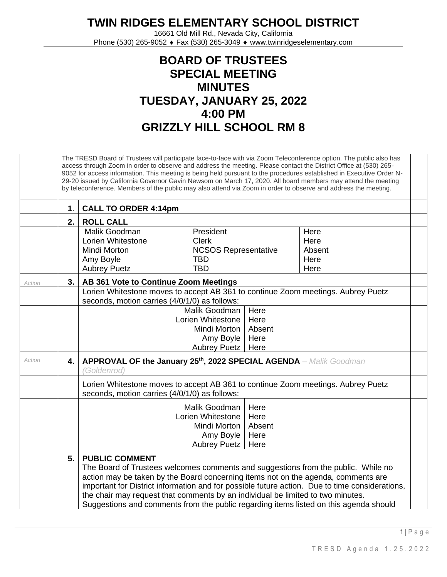## **TWIN RIDGES ELEMENTARY SCHOOL DISTRICT**

16661 Old Mill Rd., Nevada City, California Phone (530) 265-9052 ♦ Fax (530) 265-3049 ♦ www.twinridgeselementary.com

## **BOARD OF TRUSTEES SPECIAL MEETING MINUTES TUESDAY, JANUARY 25, 2022 4:00 PM GRIZZLY HILL SCHOOL RM 8**

|        | The TRESD Board of Trustees will participate face-to-face with via Zoom Teleconference option. The public also has<br>access through Zoom in order to observe and address the meeting. Please contact the District Office at (530) 265-<br>9052 for access information. This meeting is being held pursuant to the procedures established in Executive Order N-<br>29-20 issued by California Governor Gavin Newsom on March 17, 2020. All board members may attend the meeting<br>by teleconference. Members of the public may also attend via Zoom in order to observe and address the meeting. |                                                                                                                                                                                                                                                                                                                                                                                                                                                                               |                                                                                        |                                        |                                        |  |  |
|--------|---------------------------------------------------------------------------------------------------------------------------------------------------------------------------------------------------------------------------------------------------------------------------------------------------------------------------------------------------------------------------------------------------------------------------------------------------------------------------------------------------------------------------------------------------------------------------------------------------|-------------------------------------------------------------------------------------------------------------------------------------------------------------------------------------------------------------------------------------------------------------------------------------------------------------------------------------------------------------------------------------------------------------------------------------------------------------------------------|----------------------------------------------------------------------------------------|----------------------------------------|----------------------------------------|--|--|
|        | $\mathbf 1$ .                                                                                                                                                                                                                                                                                                                                                                                                                                                                                                                                                                                     | <b>CALL TO ORDER 4:14pm</b>                                                                                                                                                                                                                                                                                                                                                                                                                                                   |                                                                                        |                                        |                                        |  |  |
|        | 2.                                                                                                                                                                                                                                                                                                                                                                                                                                                                                                                                                                                                | <b>ROLL CALL</b>                                                                                                                                                                                                                                                                                                                                                                                                                                                              |                                                                                        |                                        |                                        |  |  |
|        |                                                                                                                                                                                                                                                                                                                                                                                                                                                                                                                                                                                                   | Malik Goodman<br>Lorien Whitestone<br>Mindi Morton<br>Amy Boyle<br><b>Aubrey Puetz</b>                                                                                                                                                                                                                                                                                                                                                                                        | President<br><b>Clerk</b><br><b>NCSOS Representative</b><br><b>TBD</b><br><b>TBD</b>   |                                        | Here<br>Here<br>Absent<br>Here<br>Here |  |  |
| Action | 3.                                                                                                                                                                                                                                                                                                                                                                                                                                                                                                                                                                                                | AB 361 Vote to Continue Zoom Meetings                                                                                                                                                                                                                                                                                                                                                                                                                                         |                                                                                        |                                        |                                        |  |  |
|        |                                                                                                                                                                                                                                                                                                                                                                                                                                                                                                                                                                                                   | Lorien Whitestone moves to accept AB 361 to continue Zoom meetings. Aubrey Puetz<br>seconds, motion carries (4/0/1/0) as follows:                                                                                                                                                                                                                                                                                                                                             |                                                                                        |                                        |                                        |  |  |
|        |                                                                                                                                                                                                                                                                                                                                                                                                                                                                                                                                                                                                   | Here<br>Malik Goodman<br>Lorien Whitestone<br>Here                                                                                                                                                                                                                                                                                                                                                                                                                            |                                                                                        |                                        |                                        |  |  |
|        |                                                                                                                                                                                                                                                                                                                                                                                                                                                                                                                                                                                                   | Mindi Morton<br>Absent                                                                                                                                                                                                                                                                                                                                                                                                                                                        |                                                                                        |                                        |                                        |  |  |
|        |                                                                                                                                                                                                                                                                                                                                                                                                                                                                                                                                                                                                   | Amy Boyle<br>Here                                                                                                                                                                                                                                                                                                                                                                                                                                                             |                                                                                        |                                        |                                        |  |  |
|        |                                                                                                                                                                                                                                                                                                                                                                                                                                                                                                                                                                                                   | <b>Aubrey Puetz</b><br>Here                                                                                                                                                                                                                                                                                                                                                                                                                                                   |                                                                                        |                                        |                                        |  |  |
| Action | 4.                                                                                                                                                                                                                                                                                                                                                                                                                                                                                                                                                                                                | APPROVAL OF the January 25th, 2022 SPECIAL AGENDA - Malik Goodman<br>(Goldenrod)                                                                                                                                                                                                                                                                                                                                                                                              |                                                                                        |                                        |                                        |  |  |
|        |                                                                                                                                                                                                                                                                                                                                                                                                                                                                                                                                                                                                   | Lorien Whitestone moves to accept AB 361 to continue Zoom meetings. Aubrey Puetz<br>seconds, motion carries (4/0/1/0) as follows:                                                                                                                                                                                                                                                                                                                                             |                                                                                        |                                        |                                        |  |  |
|        |                                                                                                                                                                                                                                                                                                                                                                                                                                                                                                                                                                                                   |                                                                                                                                                                                                                                                                                                                                                                                                                                                                               | Malik Goodman<br>Lorien Whitestone<br>Mindi Morton<br>Amy Boyle<br><b>Aubrey Puetz</b> | Here<br>Here<br>Absent<br>Here<br>Here |                                        |  |  |
|        | 5.                                                                                                                                                                                                                                                                                                                                                                                                                                                                                                                                                                                                | <b>PUBLIC COMMENT</b><br>The Board of Trustees welcomes comments and suggestions from the public. While no<br>action may be taken by the Board concerning items not on the agenda, comments are<br>important for District information and for possible future action. Due to time considerations,<br>the chair may request that comments by an individual be limited to two minutes.<br>Suggestions and comments from the public regarding items listed on this agenda should |                                                                                        |                                        |                                        |  |  |

1 | P a g e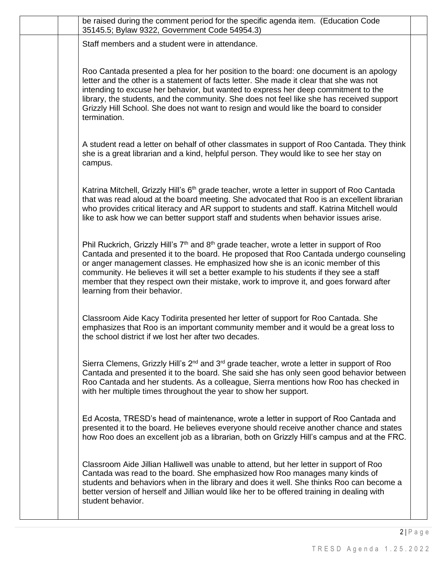| be raised during the comment period for the specific agenda item. (Education Code<br>35145.5; Bylaw 9322, Government Code 54954.3)                                                                                                                                                                                                                                                                                                                                                                                  |
|---------------------------------------------------------------------------------------------------------------------------------------------------------------------------------------------------------------------------------------------------------------------------------------------------------------------------------------------------------------------------------------------------------------------------------------------------------------------------------------------------------------------|
| Staff members and a student were in attendance.                                                                                                                                                                                                                                                                                                                                                                                                                                                                     |
| Roo Cantada presented a plea for her position to the board: one document is an apology<br>letter and the other is a statement of facts letter. She made it clear that she was not<br>intending to excuse her behavior, but wanted to express her deep commitment to the<br>library, the students, and the community. She does not feel like she has received support<br>Grizzly Hill School. She does not want to resign and would like the board to consider<br>termination.                                       |
| A student read a letter on behalf of other classmates in support of Roo Cantada. They think<br>she is a great librarian and a kind, helpful person. They would like to see her stay on<br>campus.                                                                                                                                                                                                                                                                                                                   |
| Katrina Mitchell, Grizzly Hill's 6 <sup>th</sup> grade teacher, wrote a letter in support of Roo Cantada<br>that was read aloud at the board meeting. She advocated that Roo is an excellent librarian<br>who provides critical literacy and AR support to students and staff. Katrina Mitchell would<br>like to ask how we can better support staff and students when behavior issues arise.                                                                                                                       |
| Phil Ruckrich, Grizzly Hill's 7 <sup>th</sup> and 8 <sup>th</sup> grade teacher, wrote a letter in support of Roo<br>Cantada and presented it to the board. He proposed that Roo Cantada undergo counseling<br>or anger management classes. He emphasized how she is an iconic member of this<br>community. He believes it will set a better example to his students if they see a staff<br>member that they respect own their mistake, work to improve it, and goes forward after<br>learning from their behavior. |
| Classroom Aide Kacy Todirita presented her letter of support for Roo Cantada. She<br>emphasizes that Roo is an important community member and it would be a great loss to<br>the school district if we lost her after two decades.                                                                                                                                                                                                                                                                                  |
| Sierra Clemens, Grizzly Hill's 2 <sup>nd</sup> and 3 <sup>rd</sup> grade teacher, wrote a letter in support of Roo<br>Cantada and presented it to the board. She said she has only seen good behavior between<br>Roo Cantada and her students. As a colleague, Sierra mentions how Roo has checked in<br>with her multiple times throughout the year to show her support.                                                                                                                                           |
| Ed Acosta, TRESD's head of maintenance, wrote a letter in support of Roo Cantada and<br>presented it to the board. He believes everyone should receive another chance and states<br>how Roo does an excellent job as a librarian, both on Grizzly Hill's campus and at the FRC.                                                                                                                                                                                                                                     |
| Classroom Aide Jillian Halliwell was unable to attend, but her letter in support of Roo<br>Cantada was read to the board. She emphasized how Roo manages many kinds of<br>students and behaviors when in the library and does it well. She thinks Roo can become a<br>better version of herself and Jillian would like her to be offered training in dealing with<br>student behavior.                                                                                                                              |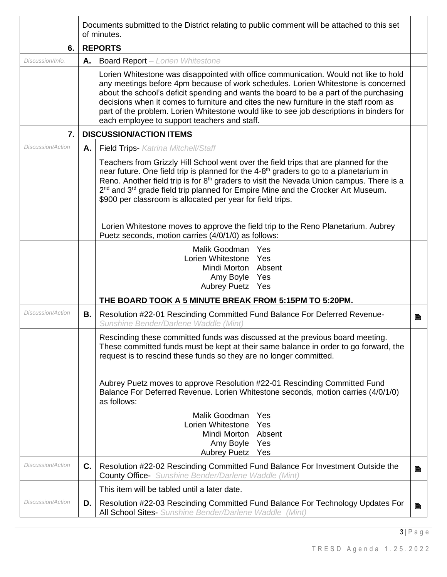|                                                                   |    |    | Documents submitted to the District relating to public comment will be attached to this set<br>of minutes.                                                                                                                                                                                                                                                                                                                                                                                               |  |  |
|-------------------------------------------------------------------|----|----|----------------------------------------------------------------------------------------------------------------------------------------------------------------------------------------------------------------------------------------------------------------------------------------------------------------------------------------------------------------------------------------------------------------------------------------------------------------------------------------------------------|--|--|
|                                                                   | 6. |    | <b>REPORTS</b>                                                                                                                                                                                                                                                                                                                                                                                                                                                                                           |  |  |
| <b>Board Report</b> - Lorien Whitestone<br>Α.<br>Discussion/Info. |    |    |                                                                                                                                                                                                                                                                                                                                                                                                                                                                                                          |  |  |
|                                                                   |    |    | Lorien Whitestone was disappointed with office communication. Would not like to hold<br>any meetings before 4pm because of work schedules. Lorien Whitestone is concerned<br>about the school's deficit spending and wants the board to be a part of the purchasing<br>decisions when it comes to furniture and cites the new furniture in the staff room as<br>part of the problem. Lorien Whitestone would like to see job descriptions in binders for<br>each employee to support teachers and staff. |  |  |
|                                                                   | 7. |    | <b>DISCUSSION/ACTION ITEMS</b>                                                                                                                                                                                                                                                                                                                                                                                                                                                                           |  |  |
| <i>Discussion/Action</i>                                          |    | А. | <b>Field Trips- Katrina Mitchell/Staff</b>                                                                                                                                                                                                                                                                                                                                                                                                                                                               |  |  |
|                                                                   |    |    | Teachers from Grizzly Hill School went over the field trips that are planned for the<br>near future. One field trip is planned for the 4-8 <sup>th</sup> graders to go to a planetarium in<br>Reno. Another field trip is for 8 <sup>th</sup> graders to visit the Nevada Union campus. There is a<br>2 <sup>nd</sup> and 3 <sup>rd</sup> grade field trip planned for Empire Mine and the Crocker Art Museum.<br>\$900 per classroom is allocated per year for field trips.                             |  |  |
|                                                                   |    |    | Lorien Whitestone moves to approve the field trip to the Reno Planetarium. Aubrey<br>Puetz seconds, motion carries (4/0/1/0) as follows:                                                                                                                                                                                                                                                                                                                                                                 |  |  |
|                                                                   |    |    | Malik Goodman<br>Yes<br>Lorien Whitestone<br>Yes<br>Mindi Morton<br>Absent<br>Amy Boyle<br>Yes<br><b>Aubrey Puetz</b><br>Yes                                                                                                                                                                                                                                                                                                                                                                             |  |  |
|                                                                   |    |    | THE BOARD TOOK A 5 MINUTE BREAK FROM 5:15PM TO 5:20PM.                                                                                                                                                                                                                                                                                                                                                                                                                                                   |  |  |
| <b>Discussion/Action</b>                                          |    | В. | Resolution #22-01 Rescinding Committed Fund Balance For Deferred Revenue-<br>B<br>Sunshine Bender/Darlene Waddle (Mint)                                                                                                                                                                                                                                                                                                                                                                                  |  |  |
|                                                                   |    |    | Rescinding these committed funds was discussed at the previous board meeting.<br>These committed funds must be kept at their same balance in order to go forward, the<br>request is to rescind these funds so they are no longer committed.                                                                                                                                                                                                                                                              |  |  |
|                                                                   |    |    | Aubrey Puetz moves to approve Resolution #22-01 Rescinding Committed Fund<br>Balance For Deferred Revenue. Lorien Whitestone seconds, motion carries (4/0/1/0)<br>as follows:                                                                                                                                                                                                                                                                                                                            |  |  |
|                                                                   |    |    | Malik Goodman<br>Yes<br>Lorien Whitestone<br>Yes<br>Mindi Morton<br>Absent<br>Amy Boyle<br>Yes<br><b>Aubrey Puetz</b><br>Yes                                                                                                                                                                                                                                                                                                                                                                             |  |  |
| <i>Discussion/Action</i>                                          |    | C. | Resolution #22-02 Rescinding Committed Fund Balance For Investment Outside the<br>B<br><b>County Office</b> Sunshine Bender/Darlene Waddle (Mint)                                                                                                                                                                                                                                                                                                                                                        |  |  |
|                                                                   |    |    | This item will be tabled until a later date.                                                                                                                                                                                                                                                                                                                                                                                                                                                             |  |  |
| <i>Discussion/Action</i>                                          |    | D. | Resolution #22-03 Rescinding Committed Fund Balance For Technology Updates For<br>B<br>All School Sites- Sunshine Bender/Darlene Waddle (Mint)                                                                                                                                                                                                                                                                                                                                                           |  |  |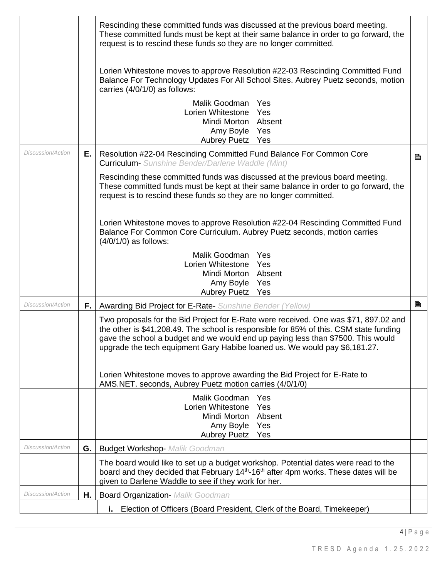|                          |                                                                              | Rescinding these committed funds was discussed at the previous board meeting.<br>These committed funds must be kept at their same balance in order to go forward, the<br>request is to rescind these funds so they are no longer committed.                                                                                                                                                                                                                                              |                                    |   |
|--------------------------|------------------------------------------------------------------------------|------------------------------------------------------------------------------------------------------------------------------------------------------------------------------------------------------------------------------------------------------------------------------------------------------------------------------------------------------------------------------------------------------------------------------------------------------------------------------------------|------------------------------------|---|
|                          |                                                                              | Lorien Whitestone moves to approve Resolution #22-03 Rescinding Committed Fund<br>Balance For Technology Updates For All School Sites. Aubrey Puetz seconds, motion<br>carries (4/0/1/0) as follows:                                                                                                                                                                                                                                                                                     |                                    |   |
|                          |                                                                              | Malik Goodman<br>Lorien Whitestone<br>Mindi Morton<br>Amy Boyle<br><b>Aubrey Puetz</b>                                                                                                                                                                                                                                                                                                                                                                                                   | Yes<br>Yes<br>Absent<br>Yes<br>Yes |   |
| <b>Discussion/Action</b> | Е.                                                                           | Resolution #22-04 Rescinding Committed Fund Balance For Common Core<br>Curriculum- Sunshine Bender/Darlene Waddle (Mint)                                                                                                                                                                                                                                                                                                                                                                 |                                    | B |
|                          |                                                                              | Rescinding these committed funds was discussed at the previous board meeting.<br>These committed funds must be kept at their same balance in order to go forward, the<br>request is to rescind these funds so they are no longer committed.                                                                                                                                                                                                                                              |                                    |   |
|                          |                                                                              | Lorien Whitestone moves to approve Resolution #22-04 Rescinding Committed Fund<br>Balance For Common Core Curriculum. Aubrey Puetz seconds, motion carries<br>(4/0/1/0) as follows:                                                                                                                                                                                                                                                                                                      |                                    |   |
|                          |                                                                              | Malik Goodman<br>Lorien Whitestone<br>Mindi Morton<br>Amy Boyle<br><b>Aubrey Puetz</b>                                                                                                                                                                                                                                                                                                                                                                                                   | Yes<br>Yes<br>Absent<br>Yes<br>Yes |   |
| <b>Discussion/Action</b> | F.                                                                           | Awarding Bid Project for E-Rate- Sunshine Bender (Yellow)                                                                                                                                                                                                                                                                                                                                                                                                                                |                                    | 昏 |
|                          |                                                                              | Two proposals for the Bid Project for E-Rate were received. One was \$71, 897.02 and<br>the other is \$41,208.49. The school is responsible for 85% of this. CSM state funding<br>gave the school a budget and we would end up paying less than \$7500. This would<br>upgrade the tech equipment Gary Habibe loaned us. We would pay \$6,181.27.<br>Lorien Whitestone moves to approve awarding the Bid Project for E-Rate to<br>AMS.NET. seconds, Aubrey Puetz motion carries (4/0/1/0) |                                    |   |
|                          |                                                                              | Malik Goodman<br>Lorien Whitestone<br>Mindi Morton<br>Amy Boyle<br><b>Aubrey Puetz</b>                                                                                                                                                                                                                                                                                                                                                                                                   | Yes<br>Yes<br>Absent<br>Yes<br>Yes |   |
| <i>Discussion/Action</i> | G.                                                                           | <b>Budget Workshop- Malik Goodman</b>                                                                                                                                                                                                                                                                                                                                                                                                                                                    |                                    |   |
|                          |                                                                              | The board would like to set up a budget workshop. Potential dates were read to the<br>board and they decided that February 14 <sup>th</sup> -16 <sup>th</sup> after 4pm works. These dates will be<br>given to Darlene Waddle to see if they work for her.                                                                                                                                                                                                                               |                                    |   |
| Discussion/Action        | Η.                                                                           | <b>Board Organization- Malik Goodman</b>                                                                                                                                                                                                                                                                                                                                                                                                                                                 |                                    |   |
|                          | Election of Officers (Board President, Clerk of the Board, Timekeeper)<br>i. |                                                                                                                                                                                                                                                                                                                                                                                                                                                                                          |                                    |   |

4 | P a g e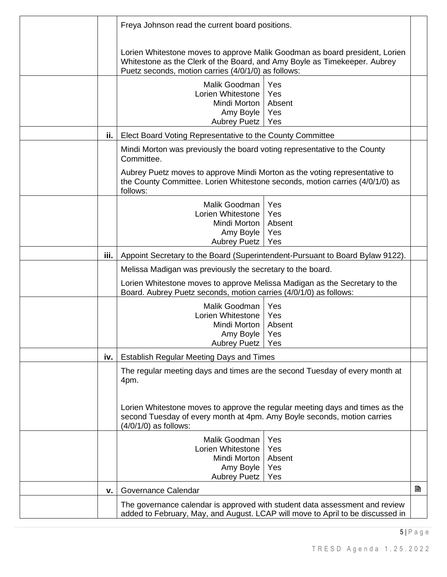|      | Freya Johnson read the current board positions.                                                                                                                                                                 |   |  |
|------|-----------------------------------------------------------------------------------------------------------------------------------------------------------------------------------------------------------------|---|--|
|      | Lorien Whitestone moves to approve Malik Goodman as board president, Lorien<br>Whitestone as the Clerk of the Board, and Amy Boyle as Timekeeper. Aubrey<br>Puetz seconds, motion carries (4/0/1/0) as follows: |   |  |
|      | Malik Goodman<br>Yes<br>Lorien Whitestone<br>Yes<br>Mindi Morton<br>Absent<br>Amy Boyle<br>Yes<br><b>Aubrey Puetz</b><br>Yes                                                                                    |   |  |
|      | ii.<br>Elect Board Voting Representative to the County Committee                                                                                                                                                |   |  |
|      | Mindi Morton was previously the board voting representative to the County<br>Committee.                                                                                                                         |   |  |
|      | Aubrey Puetz moves to approve Mindi Morton as the voting representative to<br>the County Committee. Lorien Whitestone seconds, motion carries (4/0/1/0) as<br>follows:                                          |   |  |
|      | Malik Goodman<br>Yes<br>Lorien Whitestone<br>Yes<br>Absent<br>Mindi Morton<br>Amy Boyle<br>Yes<br><b>Aubrey Puetz</b><br>Yes                                                                                    |   |  |
| iii. | Appoint Secretary to the Board (Superintendent-Pursuant to Board Bylaw 9122).                                                                                                                                   |   |  |
|      | Melissa Madigan was previously the secretary to the board.                                                                                                                                                      |   |  |
|      | Lorien Whitestone moves to approve Melissa Madigan as the Secretary to the<br>Board. Aubrey Puetz seconds, motion carries (4/0/1/0) as follows:                                                                 |   |  |
|      | Malik Goodman<br>Yes<br>Lorien Whitestone<br>Yes<br>Mindi Morton<br>Absent<br>Amy Boyle<br>Yes<br>Aubrey Puetz<br>Yes                                                                                           |   |  |
| iv.  | <b>Establish Regular Meeting Days and Times</b>                                                                                                                                                                 |   |  |
|      | The regular meeting days and times are the second Tuesday of every month at<br>4pm.                                                                                                                             |   |  |
|      | Lorien Whitestone moves to approve the regular meeting days and times as the<br>second Tuesday of every month at 4pm. Amy Boyle seconds, motion carries<br>(4/0/1/0) as follows:                                |   |  |
|      | Malik Goodman<br>Yes<br>Lorien Whitestone<br>Yes<br>Mindi Morton<br>Absent<br>Yes<br>Amy Boyle<br><b>Aubrey Puetz</b><br>Yes                                                                                    |   |  |
|      | Governance Calendar<br>v.                                                                                                                                                                                       | B |  |
|      | The governance calendar is approved with student data assessment and review<br>added to February, May, and August. LCAP will move to April to be discussed in                                                   |   |  |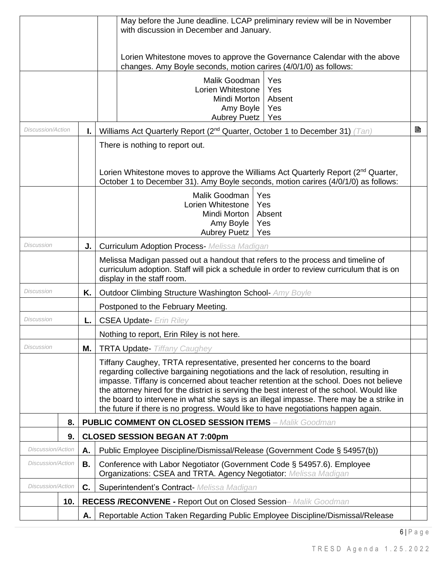|                          |                                                                                 |    | May before the June deadline. LCAP preliminary review will be in November<br>with discussion in December and January.                                                                                                                                                                                                                                                                                                                                                                                                                     |   |  |
|--------------------------|---------------------------------------------------------------------------------|----|-------------------------------------------------------------------------------------------------------------------------------------------------------------------------------------------------------------------------------------------------------------------------------------------------------------------------------------------------------------------------------------------------------------------------------------------------------------------------------------------------------------------------------------------|---|--|
|                          |                                                                                 |    |                                                                                                                                                                                                                                                                                                                                                                                                                                                                                                                                           |   |  |
|                          |                                                                                 |    | Lorien Whitestone moves to approve the Governance Calendar with the above<br>changes. Amy Boyle seconds, motion carires (4/0/1/0) as follows:                                                                                                                                                                                                                                                                                                                                                                                             |   |  |
|                          |                                                                                 |    | Malik Goodman<br>Yes                                                                                                                                                                                                                                                                                                                                                                                                                                                                                                                      |   |  |
|                          |                                                                                 |    | Yes<br>Lorien Whitestone<br>Absent<br>Mindi Morton                                                                                                                                                                                                                                                                                                                                                                                                                                                                                        |   |  |
|                          |                                                                                 |    | Amy Boyle<br>Yes                                                                                                                                                                                                                                                                                                                                                                                                                                                                                                                          |   |  |
| Discussion/Action        |                                                                                 |    | Aubrey Puetz<br>Yes                                                                                                                                                                                                                                                                                                                                                                                                                                                                                                                       | B |  |
|                          |                                                                                 | Т. | Williams Act Quarterly Report (2 <sup>nd</sup> Quarter, October 1 to December 31) (Tan)                                                                                                                                                                                                                                                                                                                                                                                                                                                   |   |  |
|                          |                                                                                 |    | There is nothing to report out.                                                                                                                                                                                                                                                                                                                                                                                                                                                                                                           |   |  |
|                          |                                                                                 |    | Lorien Whitestone moves to approve the Williams Act Quarterly Report (2 <sup>nd</sup> Quarter,<br>October 1 to December 31). Amy Boyle seconds, motion carires (4/0/1/0) as follows:                                                                                                                                                                                                                                                                                                                                                      |   |  |
|                          |                                                                                 |    | Yes<br>Malik Goodman                                                                                                                                                                                                                                                                                                                                                                                                                                                                                                                      |   |  |
|                          |                                                                                 |    | Lorien Whitestone<br>Yes                                                                                                                                                                                                                                                                                                                                                                                                                                                                                                                  |   |  |
|                          |                                                                                 |    | Mindi Morton<br>Absent<br>Amy Boyle<br>Yes                                                                                                                                                                                                                                                                                                                                                                                                                                                                                                |   |  |
|                          |                                                                                 |    | <b>Aubrey Puetz</b><br>Yes                                                                                                                                                                                                                                                                                                                                                                                                                                                                                                                |   |  |
| Discussion               |                                                                                 | J. | <b>Curriculum Adoption Process- Melissa Madigan</b>                                                                                                                                                                                                                                                                                                                                                                                                                                                                                       |   |  |
|                          | Melissa Madigan passed out a handout that refers to the process and timeline of |    | curriculum adoption. Staff will pick a schedule in order to review curriculum that is on<br>display in the staff room.                                                                                                                                                                                                                                                                                                                                                                                                                    |   |  |
| Discussion<br>Κ.         |                                                                                 |    | <b>Outdoor Climbing Structure Washington School- Amy Boyle</b>                                                                                                                                                                                                                                                                                                                                                                                                                                                                            |   |  |
|                          | Postponed to the February Meeting.                                              |    |                                                                                                                                                                                                                                                                                                                                                                                                                                                                                                                                           |   |  |
| Discussion               |                                                                                 | L. | <b>CSEA Update- Erin Riley</b>                                                                                                                                                                                                                                                                                                                                                                                                                                                                                                            |   |  |
|                          |                                                                                 |    | Nothing to report, Erin Riley is not here.                                                                                                                                                                                                                                                                                                                                                                                                                                                                                                |   |  |
| Discussion               |                                                                                 | M. | <b>TRTA Update-</b> Tiffany Caughey                                                                                                                                                                                                                                                                                                                                                                                                                                                                                                       |   |  |
|                          |                                                                                 |    | Tiffany Caughey, TRTA representative, presented her concerns to the board<br>regarding collective bargaining negotiations and the lack of resolution, resulting in<br>impasse. Tiffany is concerned about teacher retention at the school. Does not believe<br>the attorney hired for the district is serving the best interest of the school. Would like<br>the board to intervene in what she says is an illegal impasse. There may be a strike in<br>the future if there is no progress. Would like to have negotiations happen again. |   |  |
|                          | 8.                                                                              |    | <b>PUBLIC COMMENT ON CLOSED SESSION ITEMS - Malik Goodman</b>                                                                                                                                                                                                                                                                                                                                                                                                                                                                             |   |  |
|                          | 9.                                                                              |    | <b>CLOSED SESSION BEGAN AT 7:00pm</b>                                                                                                                                                                                                                                                                                                                                                                                                                                                                                                     |   |  |
| Discussion/Action        |                                                                                 | Α. | Public Employee Discipline/Dismissal/Release (Government Code § 54957(b))                                                                                                                                                                                                                                                                                                                                                                                                                                                                 |   |  |
| Discussion/Action        |                                                                                 | В. | Conference with Labor Negotiator (Government Code § 54957.6). Employee<br>Organizations: CSEA and TRTA. Agency Negotiator: Melissa Madigan                                                                                                                                                                                                                                                                                                                                                                                                |   |  |
| <b>Discussion/Action</b> |                                                                                 | C. | Superintendent's Contract- Melissa Madigan                                                                                                                                                                                                                                                                                                                                                                                                                                                                                                |   |  |
|                          | 10.                                                                             |    | <b>RECESS /RECONVENE - Report Out on Closed Session- Malik Goodman</b>                                                                                                                                                                                                                                                                                                                                                                                                                                                                    |   |  |
|                          |                                                                                 | Α. | Reportable Action Taken Regarding Public Employee Discipline/Dismissal/Release                                                                                                                                                                                                                                                                                                                                                                                                                                                            |   |  |